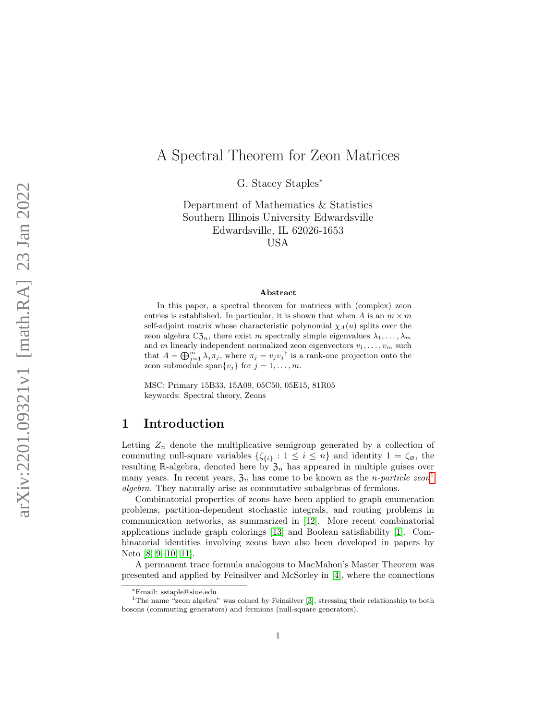# A Spectral Theorem for Zeon Matrices

G. Stacey Staples<sup>\*</sup>

Department of Mathematics & Statistics Southern Illinois University Edwardsville Edwardsville, IL 62026-1653 USA

#### Abstract

In this paper, a spectral theorem for matrices with (complex) zeon entries is established. In particular, it is shown that when A is an  $m \times m$ self-adjoint matrix whose characteristic polynomial  $\chi_A(u)$  splits over the zeon algebra  $\mathbb{C}\mathfrak{Z}_n$ , there exist m spectrally simple eigenvalues  $\lambda_1, \ldots, \lambda_m$ and m linearly independent normalized zeon eigenvectors  $v_1, \ldots, v_m$  such that  $A = \bigoplus_{j=1}^m \lambda_j \pi_j$ , where  $\pi_j = v_j v_j^{\dagger}$  is a rank-one projection onto the zeon submodule span $\{v_j\}$  for  $j=1,\ldots,m$ .

MSC: Primary 15B33, 15A09, 05C50, 05E15, 81R05 keywords: Spectral theory, Zeons

# 1 Introduction

Letting  $Z_n$  denote the multiplicative semigroup generated by a collection of commuting null-square variables  $\{\zeta_{\{i\}} : 1 \leq i \leq n\}$  and identity  $1 = \zeta_{\emptyset}$ , the resulting R-algebra, denoted here by  $\mathfrak{Z}_n$  has appeared in multiple guises over many years. In recent years,  $\mathfrak{Z}_n$  has come to be known as the *n*-particle zeon<sup>[1](#page-0-0)</sup> algebra. They naturally arise as commutative subalgebras of fermions.

Combinatorial properties of zeons have been applied to graph enumeration problems, partition-dependent stochastic integrals, and routing problems in communication networks, as summarized in [\[12\]](#page-19-0). More recent combinatorial applications include graph colorings [\[13\]](#page-19-1) and Boolean satisfiability [\[1\]](#page-18-0). Combinatorial identities involving zeons have also been developed in papers by Neto [\[8,](#page-18-1) [9,](#page-18-2) [10,](#page-19-2) [11\]](#page-19-3).

A permanent trace formula analogous to MacMahon's Master Theorem was presented and applied by Feinsilver and McSorley in [\[4\]](#page-18-3), where the connections

<span id="page-0-0"></span><sup>∗</sup>Email: sstaple@siue.edu

<sup>&</sup>lt;sup>1</sup>The name "zeon algebra" was coined by Feinsilver [\[3\]](#page-18-4), stressing their relationship to both bosons (commuting generators) and fermions (null-square generators).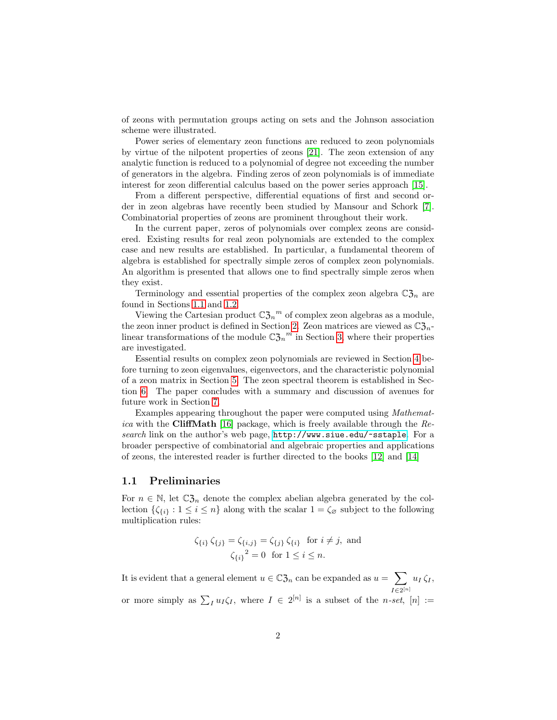of zeons with permutation groups acting on sets and the Johnson association scheme were illustrated.

Power series of elementary zeon functions are reduced to zeon polynomials by virtue of the nilpotent properties of zeons [\[21\]](#page-19-4). The zeon extension of any analytic function is reduced to a polynomial of degree not exceeding the number of generators in the algebra. Finding zeros of zeon polynomials is of immediate interest for zeon differential calculus based on the power series approach [\[15\]](#page-19-5).

From a different perspective, differential equations of first and second order in zeon algebras have recently been studied by Mansour and Schork [\[7\]](#page-18-5). Combinatorial properties of zeons are prominent throughout their work.

In the current paper, zeros of polynomials over complex zeons are considered. Existing results for real zeon polynomials are extended to the complex case and new results are established. In particular, a fundamental theorem of algebra is established for spectrally simple zeros of complex zeon polynomials. An algorithm is presented that allows one to find spectrally simple zeros when they exist.

Terminology and essential properties of the complex zeon algebra  $\mathbb{C}\mathfrak{Z}_n$  are found in Sections [1.1](#page-1-0) and [1.2.](#page-3-0)

Viewing the Cartesian product  $\mathbb{C}\mathfrak{Z}_n^m$  of complex zeon algebras as a module, the zeon inner product is defined in Section [2.](#page-4-0) Zeon matrices are viewed as  $\mathbb{C}\mathfrak{Z}_n$ linear transformations of the module  $\mathbb{C}\mathfrak{Z}_n^m$  in Section [3,](#page-5-0) where their properties are investigated.

Essential results on complex zeon polynomials are reviewed in Section [4](#page-9-0) before turning to zeon eigenvalues, eigenvectors, and the characteristic polynomial of a zeon matrix in Section [5.](#page-12-0) The zeon spectral theorem is established in Section [6.](#page-14-0) The paper concludes with a summary and discussion of avenues for future work in Section [7.](#page-17-0)

Examples appearing throughout the paper were computed using Mathemat-ica with the CliffMath [\[16\]](#page-19-6) package, which is freely available through the  $Re$ search link on the author's web page, <http://www.siue.edu/~sstaple>. For a broader perspective of combinatorial and algebraic properties and applications of zeons, the interested reader is further directed to the books [\[12\]](#page-19-0) and [\[14\]](#page-19-7)

### <span id="page-1-0"></span>1.1 Preliminaries

For  $n \in \mathbb{N}$ , let  $\mathbb{C}\mathfrak{Z}_n$  denote the complex abelian algebra generated by the collection  $\{\zeta_{\{i\}} : 1 \leq i \leq n\}$  along with the scalar  $1 = \zeta_{\emptyset}$  subject to the following multiplication rules:

$$
\zeta_{\{i\}} \zeta_{\{j\}} = \zeta_{\{i,j\}} = \zeta_{\{j\}} \zeta_{\{i\}} \text{ for } i \neq j, \text{ and}
$$

$$
\zeta_{\{i\}}^2 = 0 \text{ for } 1 \leq i \leq n.
$$

It is evident that a general element  $u \in \mathbb{C}\mathfrak{Z}_n$  can be expanded as  $u = \sum$  $I\in 2^{[n]}$  $u_I \zeta_I$ 

or more simply as  $\sum_I u_I \zeta_I$ , where  $I \in 2^{[n]}$  is a subset of the *n-set*,  $[n] :=$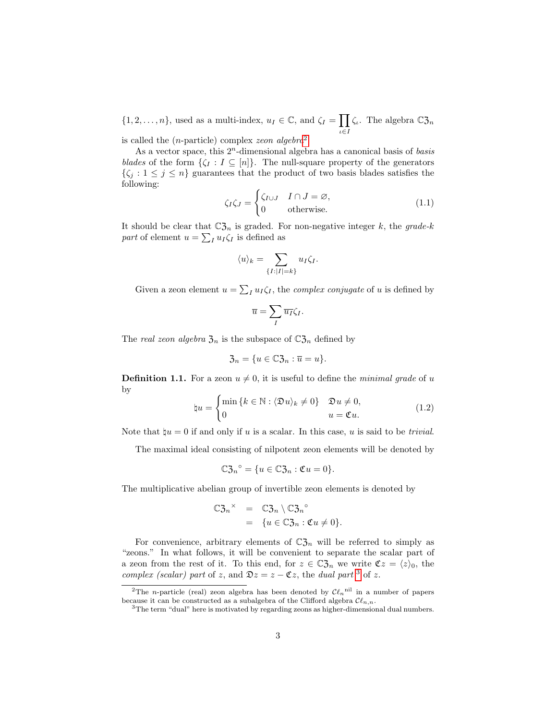$\{1, 2, \ldots, n\}$ , used as a multi-index,  $u_I \in \mathbb{C}$ , and  $\zeta_I = \prod$  $\iota \in I$  $\zeta_{\iota}$ . The algebra  $\mathbb{C}\mathfrak{Z}_n$ 

is called the  $(n\text{-particle})$  complex zeon algebra<sup>[2](#page-2-0)</sup>.

As a vector space, this  $2^n$ -dimensional algebra has a canonical basis of basis blades of the form  $\{\zeta_I : I \subseteq [n]\}.$  The null-square property of the generators  $\{\zeta_j : 1 \leq j \leq n\}$  guarantees that the product of two basis blades satisfies the following:

$$
\zeta_I \zeta_J = \begin{cases} \zeta_{I \cup J} & I \cap J = \varnothing, \\ 0 & \text{otherwise.} \end{cases}
$$
 (1.1)

It should be clear that  $\mathbb{C}\mathfrak{Z}_n$  is graded. For non-negative integer k, the grade-k part of element  $u = \sum_I u_I \zeta_I$  is defined as

$$
\langle u \rangle_k = \sum_{\{I:|I|=k\}} u_I \zeta_I.
$$

Given a zeon element  $u = \sum_I u_I \zeta_I$ , the *complex conjugate* of u is defined by

$$
\overline{u} = \sum_I \overline{u_I} \zeta_I.
$$

The real zeon algebra  $\mathfrak{Z}_n$  is the subspace of  $\mathbb{C}\mathfrak{Z}_n$  defined by

$$
\mathfrak{Z}_n = \{ u \in \mathbb{C} \mathfrak{Z}_n : \overline{u} = u \}.
$$

**Definition 1.1.** For a zeon  $u \neq 0$ , it is useful to define the *minimal grade* of u by

$$
\natural u = \begin{cases} \min \{k \in \mathbb{N} : \langle \mathfrak{D} u \rangle_k \neq 0 \} & \mathfrak{D} u \neq 0, \\ 0 & u = \mathfrak{C} u. \end{cases}
$$
(1.2)

Note that  $\mathfrak{p}_u = 0$  if and only if u is a scalar. In this case, u is said to be *trivial*.

The maximal ideal consisting of nilpotent zeon elements will be denoted by

$$
\mathbb{C}\mathfrak{Z}_n^{\circ} = \{u \in \mathbb{C}\mathfrak{Z}_n : \mathfrak{C}u = 0\}.
$$

The multiplicative abelian group of invertible zeon elements is denoted by

$$
\mathbb{C}\mathfrak{Z}_n^{\times} = \mathbb{C}\mathfrak{Z}_n \setminus \mathbb{C}\mathfrak{Z}_n^{\circ}
$$
  
= { $u \in \mathbb{C}\mathfrak{Z}_n : \mathfrak{C}u \neq 0$  }.

For convenience, arbitrary elements of  $\mathbb{C}\mathfrak{Z}_n$  will be referred to simply as "zeons." In what follows, it will be convenient to separate the scalar part of a zeon from the rest of it. To this end, for  $z \in \mathbb{C} \mathfrak{Z}_n$  we write  $\mathfrak{C}z = \langle z \rangle_0$ , the complex (scalar) part of z, and  $\mathfrak{D}z = z - \mathfrak{C}z$ , the dual part <sup>[3](#page-2-1)</sup> of z.

<span id="page-2-0"></span><sup>&</sup>lt;sup>2</sup>The *n*-particle (real) zeon algebra has been denoted by  $\mathcal{C}\ell_n$ <sup>nil</sup> in a number of papers because it can be constructed as a subalgebra of the Clifford algebra  $\mathcal{C}\ell_{n,n}$ .

<span id="page-2-1"></span><sup>3</sup>The term "dual" here is motivated by regarding zeons as higher-dimensional dual numbers.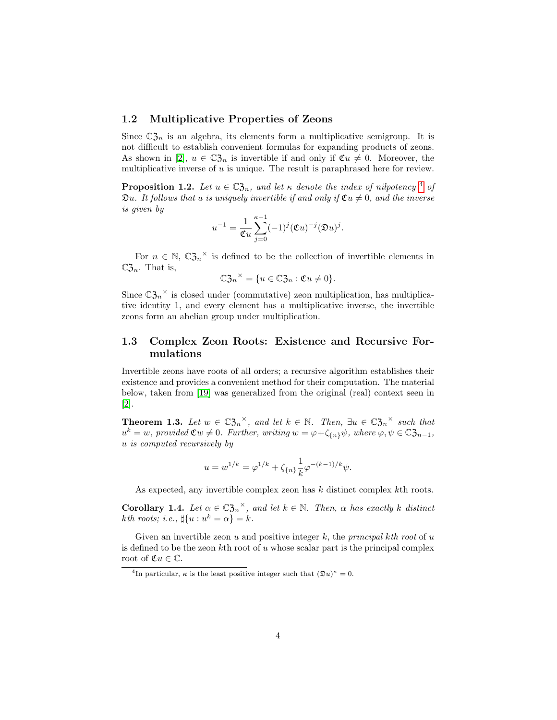### <span id="page-3-0"></span>1.2 Multiplicative Properties of Zeons

Since  $\mathbb{C}\mathfrak{Z}_n$  is an algebra, its elements form a multiplicative semigroup. It is not difficult to establish convenient formulas for expanding products of zeons. As shown in [\[2\]](#page-18-6),  $u \in \mathbb{C}^2_{\mathcal{J}_n}$  is invertible if and only if  $\mathfrak{C}u \neq 0$ . Moreover, the multiplicative inverse of  $u$  is unique. The result is paraphrased here for review.

**Proposition 1.2.** Let  $u \in \mathbb{C}\mathfrak{Z}_n$ , and let  $\kappa$  denote the index of nilpotency <sup>[4](#page-3-1)</sup> of  $\mathfrak{D}u$ . It follows that u is uniquely invertible if and only if  $\mathfrak{C}u \neq 0$ , and the inverse is given by

$$
u^{-1} = \frac{1}{\mathfrak{C}u} \sum_{j=0}^{\kappa-1} (-1)^j (\mathfrak{C}u)^{-j} (\mathfrak{D}u)^j.
$$

For  $n \in \mathbb{N}$ ,  $\mathbb{C}\mathfrak{Z}_n^{\times}$  is defined to be the collection of invertible elements in  $\mathbb{C}\mathfrak{Z}_n$ . That is,

$$
\mathbb{C}\mathfrak{Z}_n{}^\times = \{u \in \mathbb{C}\mathfrak{Z}_n : \mathfrak{C}u \neq 0\}.
$$

Since  $\mathbb{C}\mathfrak{Z}_n^{\times}$  is closed under (commutative) zeon multiplication, has multiplicative identity 1, and every element has a multiplicative inverse, the invertible zeons form an abelian group under multiplication.

## 1.3 Complex Zeon Roots: Existence and Recursive Formulations

Invertible zeons have roots of all orders; a recursive algorithm establishes their existence and provides a convenient method for their computation. The material below, taken from [\[19\]](#page-19-8) was generalized from the original (real) context seen in [\[2\]](#page-18-6).

**Theorem 1.3.** Let  $w \in \mathbb{C} \mathfrak{Z}_n^{\times}$ , and let  $k \in \mathbb{N}$ . Then,  $\exists u \in \mathbb{C} \mathfrak{Z}_n^{\times}$  such that  $u^k = w$ , provided  $\mathfrak{C}w \neq 0$ . Further, writing  $w = \varphi + \zeta_{\{n\}}\psi$ , where  $\varphi, \psi \in \mathbb{C}\mathfrak{Z}_{n-1}$ , u is computed recursively by

$$
u = w^{1/k} = \varphi^{1/k} + \zeta_{\{n\}} \frac{1}{k} \varphi^{-(k-1)/k} \psi.
$$

As expected, any invertible complex zeon has k distinct complex kth roots.

**Corollary 1.4.** Let  $\alpha \in \mathbb{C}\mathfrak{Z}_n^{\times}$ , and let  $k \in \mathbb{N}$ . Then,  $\alpha$  has exactly k distinct kth roots; i.e.,  $\sharp\{u: u^k = \alpha\} = k$ .

Given an invertible zeon u and positive integer k, the *principal kth root* of u is defined to be the zeon  $k$ th root of u whose scalar part is the principal complex root of  $\mathfrak{C}u \in \mathbb{C}$ .

<span id="page-3-1"></span><sup>&</sup>lt;sup>4</sup>In particular,  $\kappa$  is the least positive integer such that  $(\mathfrak{D}u)^{\kappa} = 0$ .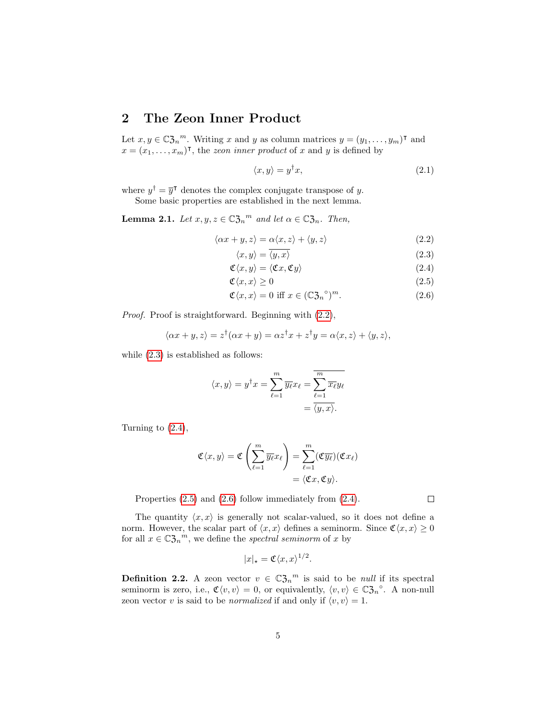# <span id="page-4-0"></span>2 The Zeon Inner Product

Let  $x, y \in \mathbb{C} \mathfrak{Z}_n^m$ . Writing x and y as column matrices  $y = (y_1, \ldots, y_m)^\intercal$  and  $x = (x_1, \ldots, x_m)$ <sup>T</sup>, the *zeon inner product* of x and y is defined by

<span id="page-4-6"></span><span id="page-4-1"></span>
$$
\langle x, y \rangle = y^{\dagger} x,\tag{2.1}
$$

where  $y^{\dagger} = \overline{y}^{\dagger}$  denotes the complex conjugate transpose of y.

Some basic properties are established in the next lemma.

**Lemma 2.1.** Let  $x, y, z \in \mathbb{C} \mathfrak{Z}_n^m$  and let  $\alpha \in \mathbb{C} \mathfrak{Z}_n$ . Then,

$$
\langle \alpha x + y, z \rangle = \alpha \langle x, z \rangle + \langle y, z \rangle \tag{2.2}
$$

<span id="page-4-5"></span><span id="page-4-4"></span><span id="page-4-3"></span><span id="page-4-2"></span>
$$
\langle x, y \rangle = \langle y, x \rangle \tag{2.3}
$$

$$
\mathfrak{C}\langle x,y\rangle = \langle \mathfrak{C}x,\mathfrak{C}y\rangle \tag{2.4}
$$

$$
\mathfrak{C}\langle x,x\rangle \ge 0\tag{2.5}
$$

$$
\mathfrak{C}\langle x,x\rangle = 0 \text{ iff } x \in (\mathbb{C}\mathfrak{Z}_n^{\circ})^m. \tag{2.6}
$$

Proof. Proof is straightforward. Beginning with  $(2.2)$ ,

$$
\langle \alpha x + y, z \rangle = z^{\dagger}(\alpha x + y) = \alpha z^{\dagger} x + z^{\dagger} y = \alpha \langle x, z \rangle + \langle y, z \rangle,
$$

while  $(2.3)$  is established as follows:

$$
\langle x, y \rangle = y^{\dagger} x = \sum_{\ell=1}^{m} \overline{y_{\ell}} x_{\ell} = \overline{\sum_{\ell=1}^{m} \overline{x_{\ell}} y_{\ell}}
$$

$$
= \overline{\langle y, x \rangle}.
$$

Turning to [\(2.4\)](#page-4-3),

$$
\mathfrak{C}\langle x,y\rangle = \mathfrak{C}\left(\sum_{\ell=1}^m \overline{y_\ell} x_\ell\right) = \sum_{\ell=1}^m (\mathfrak{C}\overline{y_\ell})(\mathfrak{C} x_\ell)
$$

$$
= \langle \mathfrak{C} x, \mathfrak{C} y \rangle.
$$

Properties [\(2.5\)](#page-4-4) and [\(2.6\)](#page-4-5) follow immediately from [\(2.4\)](#page-4-3).

 $\Box$ 

The quantity  $\langle x, x \rangle$  is generally not scalar-valued, so it does not define a norm. However, the scalar part of  $\langle x, x \rangle$  defines a seminorm. Since  $\mathfrak{C}\langle x, x \rangle \geq 0$ for all  $x \in \mathbb{C} \mathfrak{Z}_n^m$ , we define the spectral seminorm of x by

$$
|x|_{\star} = \mathfrak{C}\langle x, x \rangle^{1/2}.
$$

**Definition 2.2.** A zeon vector  $v \in \mathbb{C} \mathfrak{Z}_n^m$  is said to be *null* if its spectral seminorm is zero, i.e.,  $\mathfrak{C}\langle v, v \rangle = 0$ , or equivalently,  $\langle v, v \rangle \in \mathbb{C} \mathfrak{Z}_n^{\circ}$ . A non-null zeon vector v is said to be *normalized* if and only if  $\langle v, v \rangle = 1$ .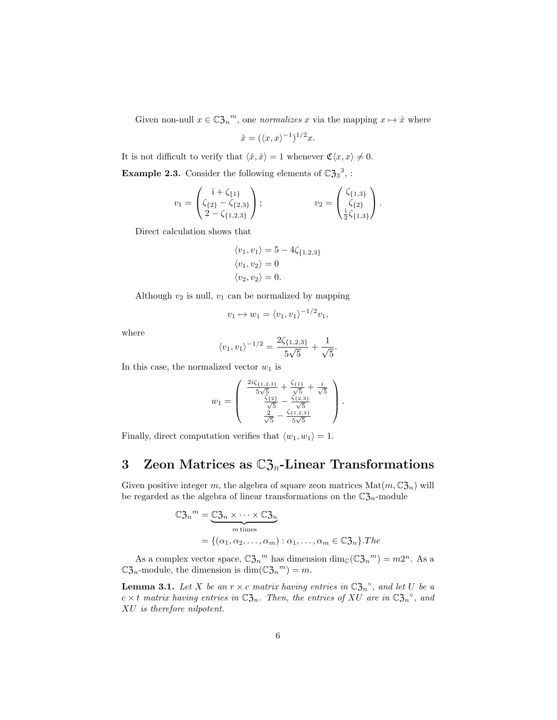Given non-null  $x \in \mathbb{C} \mathfrak{Z}_n^m$ , one *normalizes* x via the mapping  $x \mapsto \hat{x}$  where

$$
\hat{x} = (\langle x, x \rangle^{-1})^{1/2} x.
$$

It is not difficult to verify that  $\langle \hat{x}, \hat{x} \rangle = 1$  whenever  $\mathfrak{C}\langle x, x \rangle \neq 0$ .

**Example 2.3.** Consider the following elements of  $\mathbb{C}\mathfrak{Z}_3^3$ , :

$$
v_1 = \begin{pmatrix} i + \zeta_{\{1\}} \\ \zeta_{\{2\}} - \zeta_{\{2,3\}} \\ 2 - \zeta_{\{1,2,3\}} \end{pmatrix}; \qquad v_2 = \begin{pmatrix} \zeta_{\{1,3\}} \\ \zeta_{\{2\}} \\ \frac{i}{2}\zeta_{\{1,3\}} \end{pmatrix}.
$$

Direct calculation shows that

$$
\langle v_1, v_1 \rangle = 5 - 4\zeta_{\{1,2,3\}}
$$

$$
\langle v_1, v_2 \rangle = 0
$$

$$
\langle v_2, v_2 \rangle = 0.
$$

Although  $v_2$  is null,  $v_1$  can be normalized by mapping

$$
v_1 \mapsto w_1 = \langle v_1, v_1 \rangle^{-1/2} v_1,
$$

where

$$
\langle v_1, v_1 \rangle^{-1/2} = \frac{2\zeta_{\{1,2,3\}}}{5\sqrt{5}} + \frac{1}{\sqrt{5}}.
$$

In this case, the normalized vector  $w_1$  is

$$
w_1 = \begin{pmatrix} \frac{2i\zeta_{\{1,2,3\}}}{5\sqrt{5}} + \frac{\zeta_{\{1\}}}{\sqrt{5}} + \frac{i}{\sqrt{5}}\\ \frac{\zeta_{\{2\}}}{\sqrt{5}} - \frac{\zeta_{\{2,3\}}}{\sqrt{5}}\\ \frac{2}{\sqrt{5}} - \frac{\zeta_{\{1,2,3\}}}{5\sqrt{5}} \end{pmatrix}.
$$

Finally, direct computation verifies that  $\langle w_1, w_1 \rangle = 1$ .

# <span id="page-5-0"></span>3 Zeon Matrices as  $\mathbb{C}\mathfrak{Z}_n$ -Linear Transformations

Given positive integer m, the algebra of square zeon matrices  $\text{Mat}(m, \mathbb{C}3_n)$  will be regarded as the algebra of linear transformations on the  $\mathbb{C}\mathfrak{Z}_n$ -module

$$
\mathbb{C} \mathfrak{Z}_n{}^m = \underbrace{\mathbb{C} \mathfrak{Z}_n \times \cdots \times \mathbb{C} \mathfrak{Z}_n}_{m \text{ times}}
$$
\n
$$
= \{ (\alpha_1, \alpha_2, \dots, \alpha_m) : \alpha_1, \dots, \alpha_m \in \mathbb{C} \mathfrak{Z}_n \}. The
$$

As a complex vector space,  $\mathbb{C}\mathfrak{Z}_n^m$  has dimension  $\dim_{\mathbb{C}}(\mathbb{C}\mathfrak{Z}_n^m)=m2^n$ . As a  $\mathbb{C}\mathfrak{Z}_n$ -module, the dimension is  $\dim(\mathbb{C}\mathfrak{Z}_n)^m = m$ .

<span id="page-5-1"></span>**Lemma 3.1.** Let X be an  $r \times c$  matrix having entries in  $\mathbb{C}\mathfrak{Z}_n^{\circ}$ , and let U be a  $c \times t$  matrix having entries in  $\mathbb{C}\mathfrak{Z}_n$ . Then, the entries of XU are in  $\mathbb{C}\mathfrak{Z}_n^{\circ}$ , and XU is therefore nilpotent.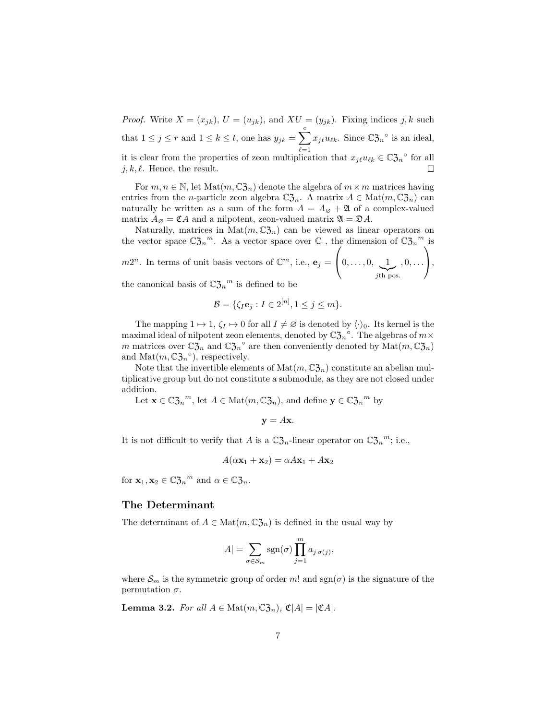*Proof.* Write  $X = (x_{jk})$ ,  $U = (u_{jk})$ , and  $XU = (y_{jk})$ . Fixing indices j, k such that  $1 \leq j \leq r$  and  $1 \leq k \leq t$ , one has  $y_{jk} = \sum_{k=1}^{c}$  $_{\ell=1}$  $x_{j\ell}u_{\ell k}$ . Since  $\mathbb{C}\mathfrak{Z}_n^{\circ}$  is an ideal, it is clear from the properties of zeon multiplication that  $x_{j\ell}u_{\ell k} \in \mathbb{C}\mathfrak{Z}_n^{\circ}$  for all  $j, k, \ell$ . Hence, the result.

For  $m, n \in \mathbb{N}$ , let  $\text{Mat}(m, \mathbb{C} \mathfrak{Z}_n)$  denote the algebra of  $m \times m$  matrices having entries from the *n*-particle zeon algebra  $\mathbb{C}\mathfrak{Z}_n$ . A matrix  $A \in \text{Mat}(m, \mathbb{C}\mathfrak{Z}_n)$  can naturally be written as a sum of the form  $A = A_{\emptyset} + \mathfrak{A}$  of a complex-valued matrix  $A_{\emptyset} = \mathfrak{C} A$  and a nilpotent, zeon-valued matrix  $\mathfrak{A} = \mathfrak{D} A$ .

Naturally, matrices in Mat $(m, \mathbb{C} \mathfrak{Z}_n)$  can be viewed as linear operators on the vector space  $\mathbb{C}\mathfrak{Z}_n^m$ . As a vector space over  $\mathbb{C}$ , the dimension of  $\mathbb{C}\mathfrak{Z}_n^m$  is  $m2^n$ . In terms of unit basis vectors of  $\mathbb{C}^m$ , i.e.,  $\mathbf{e}_j =$  $\sqrt{ }$  $\left\{0,\ldots,0,\underbrace{1}_{j\text{th pos.}}\right\}$  $, 0, \ldots$  $\setminus$  $\vert$ ,

the canonical basis of  $\mathbb{C}\mathfrak{Z}_n{}^m$  is defined to be

$$
\mathcal{B} = \{ \zeta_I \mathbf{e}_j : I \in 2^{[n]}, 1 \le j \le m \}.
$$

The mapping  $1 \mapsto 1, \zeta_I \mapsto 0$  for all  $I \neq \emptyset$  is denoted by  $\langle \cdot \rangle_0$ . Its kernel is the maximal ideal of nilpotent zeon elements, denoted by  $\mathbb{C} \mathfrak{Z}_n^{\circ}$ . The algebras of  $m \times$ m matrices over  $\mathbb{C}\mathfrak{Z}_n$  and  $\mathbb{C}\mathfrak{Z}_n^{\circ}$  are then conveniently denoted by  $\mathrm{Mat}(m, \mathbb{C}\mathfrak{Z}_n)$ and  $\text{Mat}(m, \mathbb{C} \mathfrak{Z}_n^{\circ})$ , respectively.

Note that the invertible elements of  $\text{Mat}(m, \mathbb{C}\mathfrak{Z}_n)$  constitute an abelian multiplicative group but do not constitute a submodule, as they are not closed under addition.

Let  $\mathbf{x} \in \mathbb{C} \mathfrak{Z}_n^m$ , let  $A \in \text{Mat}(m, \mathbb{C} \mathfrak{Z}_n)$ , and define  $\mathbf{y} \in \mathbb{C} \mathfrak{Z}_n^m$  by

$$
y = Ax.
$$

It is not difficult to verify that A is a  $\mathbb{C}\mathfrak{Z}_n$ -linear operator on  $\mathbb{C}\mathfrak{Z}_n^m$ ; i.e.,

$$
A(\alpha \mathbf{x}_1 + \mathbf{x}_2) = \alpha A \mathbf{x}_1 + A \mathbf{x}_2
$$

for  $\mathbf{x}_1, \mathbf{x}_2 \in \mathbb{C} \mathfrak{Z}_n^m$  and  $\alpha \in \mathbb{C} \mathfrak{Z}_n$ .

#### The Determinant

The determinant of  $A \in \text{Mat}(m, \mathbb{C}^2_{2n})$  is defined in the usual way by

$$
|A| = \sum_{\sigma \in S_m} \text{sgn}(\sigma) \prod_{j=1}^m a_{j \sigma(j)},
$$

where  $\mathcal{S}_m$  is the symmetric group of order m! and  $sgn(\sigma)$  is the signature of the permutation  $\sigma$ .

<span id="page-6-0"></span>**Lemma 3.2.** For all  $A \in Mat(m,\mathbb{C}\mathfrak{Z}_n)$ ,  $\mathfrak{C}|A| = |\mathfrak{C}A|$ .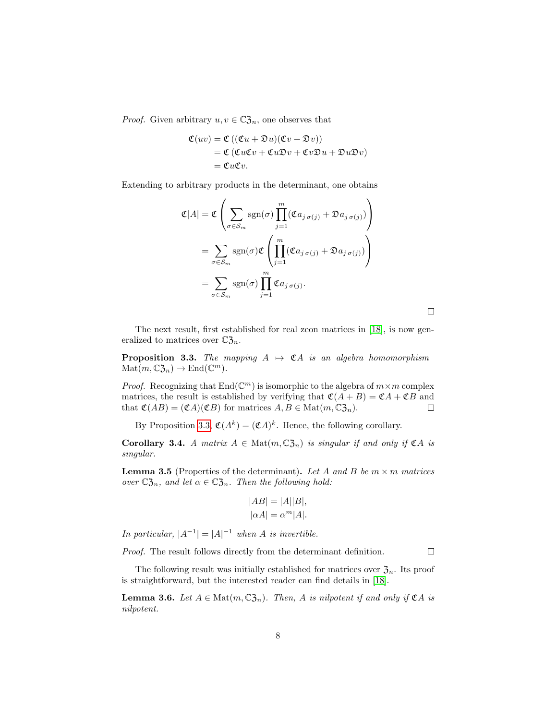*Proof.* Given arbitrary  $u, v \in \mathbb{C}\mathfrak{Z}_n$ , one observes that

$$
\mathfrak{C}(uv) = \mathfrak{C}\left((\mathfrak{C}u + \mathfrak{D}u)(\mathfrak{C}v + \mathfrak{D}v)\right)
$$
  
=  $\mathfrak{C}\left(\mathfrak{C}u\mathfrak{C}v + \mathfrak{C}u\mathfrak{D}v + \mathfrak{C}v\mathfrak{D}u + \mathfrak{D}u\mathfrak{D}v\right)$   
=  $\mathfrak{C}u\mathfrak{C}v$ .

Extending to arbitrary products in the determinant, one obtains

$$
\mathfrak{C}|A| = \mathfrak{C}\left(\sum_{\sigma \in S_m} \text{sgn}(\sigma) \prod_{j=1}^m (\mathfrak{C}a_{j\,\sigma(j)} + \mathfrak{D}a_{j\,\sigma(j)})\right)
$$

$$
= \sum_{\sigma \in S_m} \text{sgn}(\sigma) \mathfrak{C}\left(\prod_{j=1}^m (\mathfrak{C}a_{j\,\sigma(j)} + \mathfrak{D}a_{j\,\sigma(j)})\right)
$$

$$
= \sum_{\sigma \in S_m} \text{sgn}(\sigma) \prod_{j=1}^m \mathfrak{C}a_{j\,\sigma(j)}.
$$

The next result, first established for real zeon matrices in [\[18\]](#page-19-9), is now generalized to matrices over  $\mathbb{C}\mathfrak{Z}_n$ .

<span id="page-7-0"></span>**Proposition 3.3.** The mapping  $A \mapsto \mathfrak{C}A$  is an algebra homomorphism  $\text{Mat}(m, \mathbb{C}\mathfrak{Z}_n) \to \text{End}(\mathbb{C}^m).$ 

*Proof.* Recognizing that  $\text{End}(\mathbb{C}^m)$  is isomorphic to the algebra of  $m \times m$  complex matrices, the result is established by verifying that  $\mathfrak{C}(A + B) = \mathfrak{C}A + \mathfrak{C}B$  and that  $\mathfrak{C}(AB) = (\mathfrak{C}A)(\mathfrak{C}B)$  for matrices  $A, B \in \text{Mat}(m, \mathbb{C}\mathfrak{Z}_n)$ .  $\Box$ 

By Proposition [3.3,](#page-7-0)  $\mathfrak{C}(A^k) = (\mathfrak{C}A)^k$ . Hence, the following corollary.

Corollary 3.4. A matrix  $A \in \text{Mat}(m, \mathbb{C}^2_{2n})$  is singular if and only if  $\mathfrak{C}A$  is singular.

**Lemma 3.5** (Properties of the determinant). Let A and B be  $m \times m$  matrices over  $\mathbb{C}\mathfrak{Z}_n$ , and let  $\alpha \in \mathbb{C}\mathfrak{Z}_n$ . Then the following hold:

$$
|AB| = |A||B|,
$$
  

$$
|\alpha A| = \alpha^m |A|.
$$

In particular,  $|A^{-1}| = |A|^{-1}$  when A is invertible.

Proof. The result follows directly from the determinant definition.  $\Box$ 

The following result was initially established for matrices over  $\mathfrak{Z}_n$ . Its proof is straightforward, but the interested reader can find details in [\[18\]](#page-19-9).

**Lemma 3.6.** Let  $A \in \text{Mat}(m, \mathbb{C}^2_{2n})$ . Then, A is nilpotent if and only if  $\mathfrak{C}A$  is nilpotent.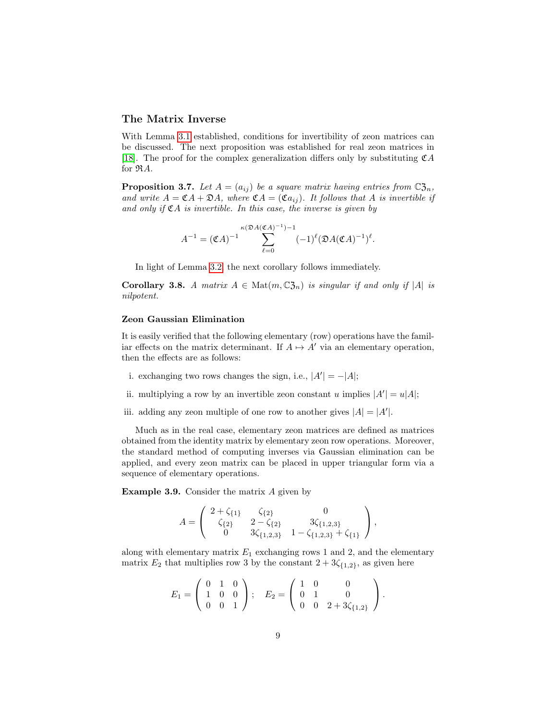## The Matrix Inverse

With Lemma [3.1](#page-5-1) established, conditions for invertibility of zeon matrices can be discussed. The next proposition was established for real zeon matrices in [\[18\]](#page-19-9). The proof for the complex generalization differs only by substituting  $\mathfrak{C}A$ for  $\Re A$ .

**Proposition 3.7.** Let  $A = (a_{ij})$  be a square matrix having entries from  $\mathbb{C} \mathfrak{Z}_n$ , and write  $A = \mathfrak{C}A + \mathfrak{D}A$ , where  $\mathfrak{C}A = (\mathfrak{C}a_{ij})$ . It follows that A is invertible if and only if  $\mathfrak{C}A$  is invertible. In this case, the inverse is given by

$$
A^{-1} = (\mathfrak{C}A)^{-1} \sum_{\ell=0}^{\kappa(\mathfrak{D}A(\mathfrak{C}A)^{-1})-1} (-1)^{\ell} (\mathfrak{D}A(\mathfrak{C}A)^{-1})^{\ell}.
$$

In light of Lemma [3.2,](#page-6-0) the next corollary follows immediately.

**Corollary 3.8.** A matrix  $A \in \text{Mat}(m, \mathbb{C}^2_{2n})$  is singular if and only if  $|A|$  is nilpotent.

### Zeon Gaussian Elimination

It is easily verified that the following elementary (row) operations have the familiar effects on the matrix determinant. If  $A \mapsto A'$  via an elementary operation, then the effects are as follows:

- i. exchanging two rows changes the sign, i.e.,  $|A'| = -|A|$ ;
- ii. multiplying a row by an invertible zeon constant u implies  $|A'| = u|A|$ ;
- iii. adding any zeon multiple of one row to another gives  $|A| = |A'|$ .

Much as in the real case, elementary zeon matrices are defined as matrices obtained from the identity matrix by elementary zeon row operations. Moreover, the standard method of computing inverses via Gaussian elimination can be applied, and every zeon matrix can be placed in upper triangular form via a sequence of elementary operations.

Example 3.9. Consider the matrix A given by

$$
A = \begin{pmatrix} 2 + \zeta_{\{1\}} & \zeta_{\{2\}} & 0 \\ \zeta_{\{2\}} & 2 - \zeta_{\{2\}} & 3\zeta_{\{1,2,3\}} \\ 0 & 3\zeta_{\{1,2,3\}} & 1 - \zeta_{\{1,2,3\}} + \zeta_{\{1\}} \end{pmatrix},
$$

along with elementary matrix  $E_1$  exchanging rows 1 and 2, and the elementary matrix  $E_2$  that multiplies row 3 by the constant  $2 + 3\zeta_{\{1,2\}}$ , as given here

$$
E_1 = \left(\begin{array}{ccc} 0 & 1 & 0 \\ 1 & 0 & 0 \\ 0 & 0 & 1 \end{array}\right); \quad E_2 = \left(\begin{array}{ccc} 1 & 0 & 0 \\ 0 & 1 & 0 \\ 0 & 0 & 2+3\zeta_{\{1,2\}} \end{array}\right).
$$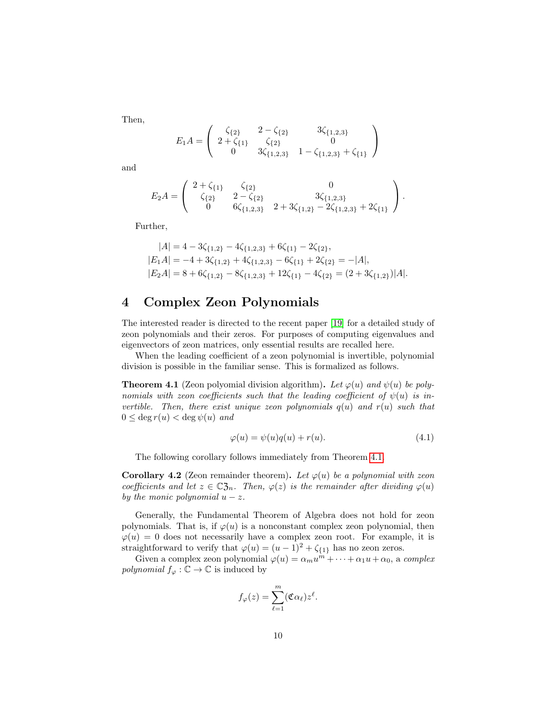Then,

$$
E_1 A = \left( \begin{array}{ccc} \zeta_{\{2\}} & 2 - \zeta_{\{2\}} & 3\zeta_{\{1,2,3\}} \\ 2 + \zeta_{\{1\}} & \zeta_{\{2\}} & 0 \\ 0 & 3\zeta_{\{1,2,3\}} & 1 - \zeta_{\{1,2,3\}} + \zeta_{\{1\}} \end{array} \right)
$$

and

$$
E_2A = \begin{pmatrix} 2 + \zeta_{\{1\}} & \zeta_{\{2\}} & 0 \\ \zeta_{\{2\}} & 2 - \zeta_{\{2\}} & 3\zeta_{\{1,2,3\}} \\ 0 & 6\zeta_{\{1,2,3\}} & 2 + 3\zeta_{\{1,2\}} - 2\zeta_{\{1,2,3\}} + 2\zeta_{\{1\}} \end{pmatrix}.
$$

Further,

$$
|A| = 4 - 3\zeta_{\{1,2\}} - 4\zeta_{\{1,2,3\}} + 6\zeta_{\{1\}} - 2\zeta_{\{2\}},
$$
  
\n
$$
|E_1A| = -4 + 3\zeta_{\{1,2\}} + 4\zeta_{\{1,2,3\}} - 6\zeta_{\{1\}} + 2\zeta_{\{2\}} = -|A|,
$$
  
\n
$$
|E_2A| = 8 + 6\zeta_{\{1,2\}} - 8\zeta_{\{1,2,3\}} + 12\zeta_{\{1\}} - 4\zeta_{\{2\}} = (2 + 3\zeta_{\{1,2\}})|A|.
$$

## <span id="page-9-0"></span>4 Complex Zeon Polynomials

The interested reader is directed to the recent paper [\[19\]](#page-19-8) for a detailed study of zeon polynomials and their zeros. For purposes of computing eigenvalues and eigenvectors of zeon matrices, only essential results are recalled here.

When the leading coefficient of a zeon polynomial is invertible, polynomial division is possible in the familiar sense. This is formalized as follows.

<span id="page-9-1"></span>**Theorem 4.1** (Zeon polyomial division algorithm). Let  $\varphi(u)$  and  $\psi(u)$  be polynomials with zeon coefficients such that the leading coefficient of  $\psi(u)$  is invertible. Then, there exist unique zeon polynomials  $q(u)$  and  $r(u)$  such that  $0 \leq \deg r(u) < \deg \psi(u)$  and

$$
\varphi(u) = \psi(u)q(u) + r(u). \tag{4.1}
$$

The following corollary follows immediately from Theorem [4.1.](#page-9-1)

**Corollary 4.2** (Zeon remainder theorem). Let  $\varphi(u)$  be a polynomial with zeon coefficients and let  $z \in \mathbb{C}^2_{2n}$ . Then,  $\varphi(z)$  is the remainder after dividing  $\varphi(u)$ by the monic polynomial  $u - z$ .

Generally, the Fundamental Theorem of Algebra does not hold for zeon polynomials. That is, if  $\varphi(u)$  is a nonconstant complex zeon polynomial, then  $\varphi(u) = 0$  does not necessarily have a complex zeon root. For example, it is straightforward to verify that  $\varphi(u) = (u - 1)^2 + \zeta_{\{1\}}$  has no zeon zeros.

Given a complex zeon polynomial  $\varphi(u) = \alpha_m u^m + \cdots + \alpha_1 u + \alpha_0$ , a complex *polynomial*  $f_{\varphi} : \mathbb{C} \to \mathbb{C}$  is induced by

$$
f_{\varphi}(z) = \sum_{\ell=1}^{m} (\mathfrak{C} \alpha_{\ell}) z^{\ell}.
$$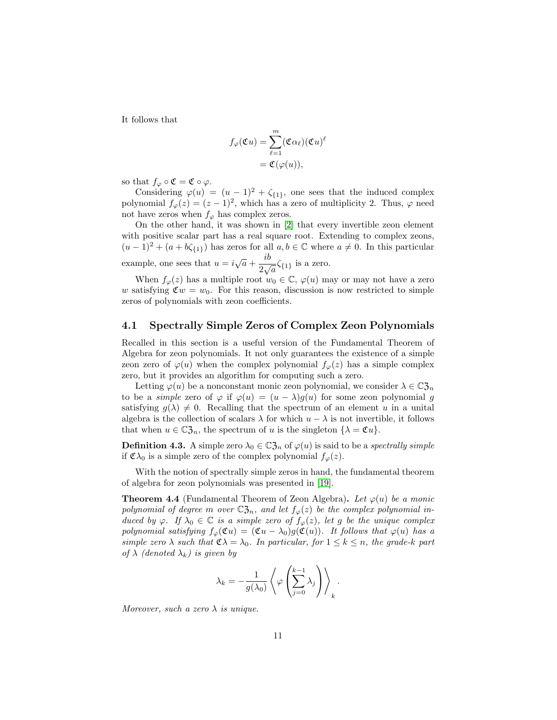It follows that

$$
f_{\varphi}(\mathfrak{C}u) = \sum_{\ell=1}^{m} (\mathfrak{C} \alpha_{\ell})(\mathfrak{C}u)^{\ell}
$$
  
=  $\mathfrak{C}(\varphi(u)),$ 

so that  $f_{\varphi} \circ \mathfrak{C} = \mathfrak{C} \circ \varphi$ .

Considering  $\varphi(u) = (u-1)^2 + \zeta_{\{1\}},$  one sees that the induced complex polynomial  $f_{\varphi}(z) = (z-1)^2$ , which has a zero of multiplicity 2. Thus,  $\varphi$  need not have zeros when  $f_{\varphi}$  has complex zeros.

On the other hand, it was shown in [\[2\]](#page-18-6) that every invertible zeon element with positive scalar part has a real square root. Extending to complex zeons,  $(u-1)^2 + (a + b\zeta_{\{1\}})$  has zeros for all  $a, b \in \mathbb{C}$  where  $a \neq 0$ . In this particular example, one sees that  $u = i\sqrt{a} + \frac{ib}{\sqrt{a}}$  $\frac{1}{2\sqrt{a}}\zeta_{\{1\}}$  is a zero.

When  $f_{\varphi}(z)$  has a multiple root  $w_0 \in \mathbb{C}$ ,  $\varphi(u)$  may or may not have a zero w satisfying  $\mathfrak{C}w = w_0$ . For this reason, discussion is now restricted to simple zeros of polynomials with zeon coefficients.

### 4.1 Spectrally Simple Zeros of Complex Zeon Polynomials

Recalled in this section is a useful version of the Fundamental Theorem of Algebra for zeon polynomials. It not only guarantees the existence of a simple zeon zero of  $\varphi(u)$  when the complex polynomial  $f_{\varphi}(z)$  has a simple complex zero, but it provides an algorithm for computing such a zero.

Letting  $\varphi(u)$  be a nonconstant monic zeon polynomial, we consider  $\lambda \in \mathbb{C}^2_{2n}$ to be a simple zero of  $\varphi$  if  $\varphi(u) = (u - \lambda)g(u)$  for some zeon polynomial g satisfying  $g(\lambda) \neq 0$ . Recalling that the spectrum of an element u in a unital algebra is the collection of scalars  $\lambda$  for which  $u - \lambda$  is not invertible, it follows that when  $u \in \mathbb{C} \mathfrak{Z}_n$ , the spectrum of u is the singleton  $\{\lambda = \mathfrak{C} u\}.$ 

**Definition 4.3.** A simple zero  $\lambda_0 \in \mathbb{C}$  of  $\varphi(u)$  is said to be a *spectrally simple* if  $\mathfrak{C}\lambda_0$  is a simple zero of the complex polynomial  $f_{\varphi}(z)$ .

With the notion of spectrally simple zeros in hand, the fundamental theorem of algebra for zeon polynomials was presented in [\[19\]](#page-19-8).

<span id="page-10-0"></span>**Theorem 4.4** (Fundamental Theorem of Zeon Algebra). Let  $\varphi(u)$  be a monic polynomial of degree m over  $\mathbb{C}\mathfrak{Z}_n$ , and let  $f_\varphi(z)$  be the complex polynomial induced by  $\varphi$ . If  $\lambda_0 \in \mathbb{C}$  is a simple zero of  $f_{\varphi}(z)$ , let g be the unique complex polynomial satisfying  $f_{\varphi}(\mathfrak{C}u) = (\mathfrak{C}u - \lambda_0)g(\mathfrak{C}(u))$ . It follows that  $\varphi(u)$  has a simple zero  $\lambda$  such that  $\mathfrak{C} \lambda = \lambda_0$ . In particular, for  $1 \leq k \leq n$ , the grade-k part of  $\lambda$  (denoted  $\lambda_k$ ) is given by

$$
\lambda_k = -\frac{1}{g(\lambda_0)} \left\langle \varphi \left( \sum_{j=0}^{k-1} \lambda_j \right) \right\rangle_k.
$$

Moreover, such a zero  $\lambda$  is unique.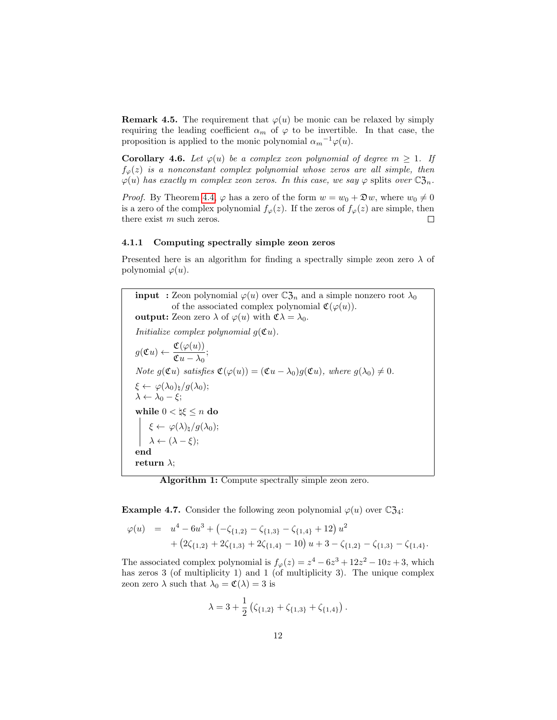**Remark 4.5.** The requirement that  $\varphi(u)$  be monic can be relaxed by simply requiring the leading coefficient  $\alpha_m$  of  $\varphi$  to be invertible. In that case, the proposition is applied to the monic polynomial  $\alpha_m^{-1}\varphi(u)$ .

**Corollary 4.6.** Let  $\varphi(u)$  be a complex zeon polynomial of degree  $m \geq 1$ . If  $f_{\varphi}(z)$  is a nonconstant complex polynomial whose zeros are all simple, then  $\varphi(u)$  has exactly m complex zeon zeros. In this case, we say  $\varphi$  splits over  $\mathbb{C}\mathfrak{Z}_n$ .

*Proof.* By Theorem [4.4,](#page-10-0)  $\varphi$  has a zero of the form  $w = w_0 + \mathfrak{D}w$ , where  $w_0 \neq 0$ is a zero of the complex polynomial  $f_{\varphi}(z)$ . If the zeros of  $f_{\varphi}(z)$  are simple, then there exist m such zeros.  $\Box$ 

#### 4.1.1 Computing spectrally simple zeon zeros

Presented here is an algorithm for finding a spectrally simple zeon zero  $\lambda$  of polynomial  $\varphi(u)$ .

**input** : Zeon polynomial  $\varphi(u)$  over  $\mathbb{C}\mathfrak{Z}_n$  and a simple nonzero root  $\lambda_0$ of the associated complex polynomial  $\mathfrak{C}(\varphi(u))$ . **output:** Zeon zero  $\lambda$  of  $\varphi(u)$  with  $\mathfrak{C}\lambda = \lambda_0$ . Initialize complex polynomial  $g({\mathfrak C} u)$ .  $g({\mathfrak C} u) \leftarrow \frac{{\mathfrak C}(\varphi(u))}{\pi}$  $\frac{\mathfrak{C}(\mathfrak{S}(\alpha))}{\mathfrak{C}u-\lambda_0};$ Note  $g(\mathfrak{C}u)$  satisfies  $\mathfrak{C}(\varphi(u)) = (\mathfrak{C}u - \lambda_0)g(\mathfrak{C}u)$ , where  $g(\lambda_0) \neq 0$ .  $\xi \leftarrow \varphi(\lambda_0)_{\natural}/g(\lambda_0);$  $\lambda \leftarrow \lambda_0 - \xi;$ while  $0 < \natural \xi \leq n$  do  $\xi \leftarrow \varphi(\lambda)_{\natural}/g(\lambda_0);$  $\lambda \leftarrow (\lambda - \xi);$ end return  $\lambda$ ;

Algorithm 1: Compute spectrally simple zeon zero.

**Example 4.7.** Consider the following zeon polynomial  $\varphi(u)$  over  $\mathbb{C} \mathfrak{Z}_4$ :

$$
\varphi(u) = u^4 - 6u^3 + \left(-\zeta_{\{1,2\}} - \zeta_{\{1,3\}} - \zeta_{\{1,4\}} + 12\right)u^2
$$
  
+ 
$$
\left(2\zeta_{\{1,2\}} + 2\zeta_{\{1,3\}} + 2\zeta_{\{1,4\}} - 10\right)u + 3 - \zeta_{\{1,2\}} - \zeta_{\{1,3\}} - \zeta_{\{1,4\}}.
$$

The associated complex polynomial is  $f_{\varphi}(z) = z^4 - 6z^3 + 12z^2 - 10z + 3$ , which has zeros 3 (of multiplicity 1) and 1 (of multiplicity 3). The unique complex zeon zero  $\lambda$  such that  $\lambda_0 = \mathfrak{C}(\lambda) = 3$  is

$$
\lambda = 3 + \frac{1}{2} \left( \zeta_{\{1,2\}} + \zeta_{\{1,3\}} + \zeta_{\{1,4\}} \right).
$$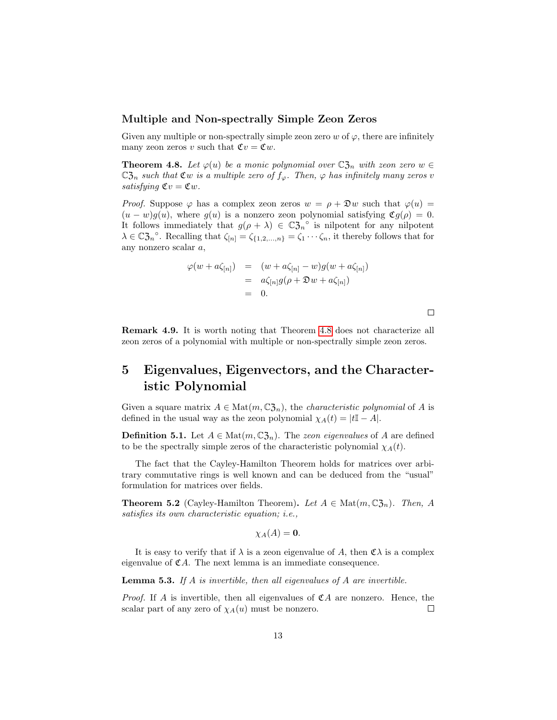### Multiple and Non-spectrally Simple Zeon Zeros

Given any multiple or non-spectrally simple zeon zero  $w$  of  $\varphi$ , there are infinitely many zeon zeros v such that  $\mathfrak{C}v = \mathfrak{C}w$ .

<span id="page-12-1"></span>**Theorem 4.8.** Let  $\varphi(u)$  be a monic polynomial over  $\mathbb{C}\mathfrak{Z}_n$  with zeon zero  $w \in \mathfrak{Z}_n$  $\mathbb{C}\mathfrak{Z}_n$  such that  $\mathfrak{C}w$  is a multiple zero of  $f_{\varphi}$ . Then,  $\varphi$  has infinitely many zeros v satisfying  $\mathfrak{C}v = \mathfrak{C}w$ .

*Proof.* Suppose  $\varphi$  has a complex zeon zeros  $w = \rho + \mathfrak{D}w$  such that  $\varphi(u) =$  $(u - w)g(u)$ , where  $g(u)$  is a nonzero zeon polynomial satisfying  $\mathfrak{C}g(\rho) = 0$ . It follows immediately that  $g(\rho + \lambda) \in \mathbb{C} \mathfrak{Z}_n^{\circ}$  is nilpotent for any nilpotent  $\lambda \in \mathbb{C} \mathfrak{Z}_n^{\circ}$ . Recalling that  $\zeta_{[n]} = \zeta_{\{1,2,\ldots,n\}} = \zeta_1 \cdots \zeta_n$ , it thereby follows that for any nonzero scalar a,

$$
\varphi(w + a\zeta_{[n]}) = (w + a\zeta_{[n]} - w)g(w + a\zeta_{[n]})
$$
  
=  $a\zeta_{[n]}g(\rho + \mathfrak{D}w + a\zeta_{[n]})$   
= 0.

Remark 4.9. It is worth noting that Theorem [4.8](#page-12-1) does not characterize all zeon zeros of a polynomial with multiple or non-spectrally simple zeon zeros.

# <span id="page-12-0"></span>5 Eigenvalues, Eigenvectors, and the Characteristic Polynomial

Given a square matrix  $A \in \text{Mat}(m, \mathbb{C} \mathfrak{Z}_n)$ , the *characteristic polynomial* of A is defined in the usual way as the zeon polynomial  $\chi_A(t) = |t\mathbb{I} - A|$ .

**Definition 5.1.** Let  $A \in \text{Mat}(m, \mathbb{C}^2_{2n})$ . The *zeon eigenvalues* of A are defined to be the spectrally simple zeros of the characteristic polynomial  $\chi_A(t)$ .

The fact that the Cayley-Hamilton Theorem holds for matrices over arbitrary commutative rings is well known and can be deduced from the "usual" formulation for matrices over fields.

**Theorem 5.2** (Cayley-Hamilton Theorem). Let  $A \in \text{Mat}(m, \mathbb{C}3_n)$ . Then, A satisfies its own characteristic equation; i.e.,

$$
\chi_A(A)=\mathbf{0}.
$$

It is easy to verify that if  $\lambda$  is a zeon eigenvalue of A, then  $\mathfrak{C}\lambda$  is a complex eigenvalue of  $\mathfrak{C}A$ . The next lemma is an immediate consequence.

**Lemma 5.3.** If  $A$  is invertible, then all eigenvalues of  $A$  are invertible.

*Proof.* If A is invertible, then all eigenvalues of  $\mathfrak{C}A$  are nonzero. Hence, the scalar part of any zero of  $\chi_A(u)$  must be nonzero.  $\Box$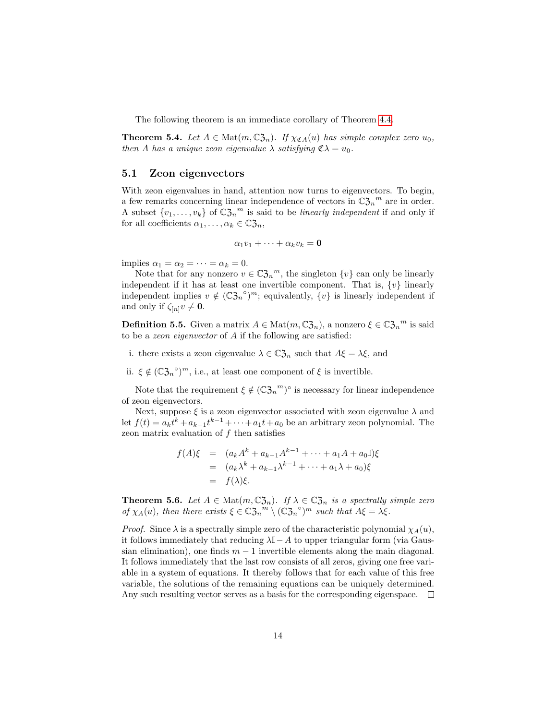The following theorem is an immediate corollary of Theorem [4.4.](#page-10-0)

**Theorem 5.4.** Let  $A \in \text{Mat}(m, \mathbb{C}^2),$  If  $\chi_{\mathfrak{C}A}(u)$  has simple complex zero  $u_0$ , then A has a unique zeon eigenvalue  $\lambda$  satisfying  $\mathfrak{C} \lambda = u_0$ .

### 5.1 Zeon eigenvectors

With zeon eigenvalues in hand, attention now turns to eigenvectors. To begin, a few remarks concerning linear independence of vectors in  $\mathbb{C}\mathfrak{Z}_n^m$  are in order. A subset  $\{v_1, \ldots, v_k\}$  of  $\mathbb{C}\mathfrak{Z}_n^m$  is said to be *linearly independent* if and only if for all coefficients  $\alpha_1, \ldots, \alpha_k \in \mathbb{C} \mathfrak{Z}_n$ ,

$$
\alpha_1v_1+\cdots+\alpha_kv_k=\mathbf{0}
$$

implies  $\alpha_1 = \alpha_2 = \cdots = \alpha_k = 0$ .

Note that for any nonzero  $v \in \mathbb{C} \mathfrak{Z}_n^m$ , the singleton  $\{v\}$  can only be linearly independent if it has at least one invertible component. That is,  $\{v\}$  linearly independent implies  $v \notin (\mathbb{C} \mathfrak{Z}_n^{\circ})^m$ ; equivalently,  $\{v\}$  is linearly independent if and only if  $\zeta_{[n]}v \neq \mathbf{0}$ .

**Definition 5.5.** Given a matrix  $A \in \text{Mat}(m, \mathbb{C}\mathfrak{Z}_n)$ , a nonzero  $\xi \in \mathbb{C}\mathfrak{Z}_n^m$  is said to be a zeon eigenvector of A if the following are satisfied:

i. there exists a zeon eigenvalue  $\lambda \in \mathbb{C} \mathfrak{Z}_n$  such that  $A \xi = \lambda \xi$ , and

ii.  $\xi \notin (\mathbb{C} \mathfrak{Z}_n^{\circ})^m$ , i.e., at least one component of  $\xi$  is invertible.

Note that the requirement  $\xi \notin (\mathbb{C} \mathfrak{Z}_n)^{\infty}$  is necessary for linear independence of zeon eigenvectors.

Next, suppose  $\xi$  is a zeon eigenvector associated with zeon eigenvalue  $\lambda$  and let  $f(t) = a_k t^k + a_{k-1} t^{k-1} + \cdots + a_1 t + a_0$  be an arbitrary zeon polynomial. The zeon matrix evaluation of  $f$  then satisfies

$$
f(A)\xi = (a_k A^k + a_{k-1} A^{k-1} + \dots + a_1 A + a_0 \mathbb{I})\xi
$$
  
=  $(a_k \lambda^k + a_{k-1} \lambda^{k-1} + \dots + a_1 \lambda + a_0)\xi$   
=  $f(\lambda)\xi$ .

**Theorem 5.6.** Let  $A \in \text{Mat}(m, \mathbb{C}\mathfrak{Z}_n)$ . If  $\lambda \in \mathbb{C}\mathfrak{Z}_n$  is a spectrally simple zero of  $\chi_A(u)$ , then there exists  $\xi \in \mathbb{C} \mathfrak{Z}_n^m \setminus (\mathbb{C} \mathfrak{Z}_n^{\circ})^m$  such that  $A\xi = \lambda \xi$ .

*Proof.* Since  $\lambda$  is a spectrally simple zero of the characteristic polynomial  $\chi_A(u)$ , it follows immediately that reducing  $\lambda$ I − A to upper triangular form (via Gaussian elimination), one finds  $m-1$  invertible elements along the main diagonal. It follows immediately that the last row consists of all zeros, giving one free variable in a system of equations. It thereby follows that for each value of this free variable, the solutions of the remaining equations can be uniquely determined. Any such resulting vector serves as a basis for the corresponding eigenspace.  $\Box$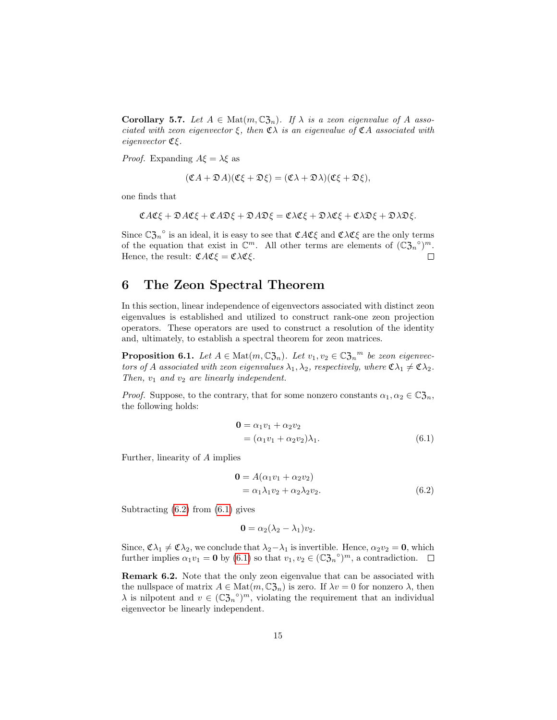**Corollary 5.7.** Let  $A \in \text{Mat}(m, \mathbb{C}^2_{2n})$ . If  $\lambda$  is a zeon eigenvalue of A associated with zeon eigenvector  $\xi$ , then  $\mathfrak{C}\lambda$  is an eigenvalue of  $\mathfrak{C} A$  associated with eigenvector Cξ.

*Proof.* Expanding  $A\xi = \lambda \xi$  as

$$
(\mathfrak{C}A + \mathfrak{D}A)(\mathfrak{C}\xi + \mathfrak{D}\xi) = (\mathfrak{C}\lambda + \mathfrak{D}\lambda)(\mathfrak{C}\xi + \mathfrak{D}\xi),
$$

one finds that

$$
\mathfrak{C} A \mathfrak{C} \xi + \mathfrak{D} A \mathfrak{C} \xi + \mathfrak{C} A \mathfrak{D} \xi + \mathfrak{D} A \mathfrak{D} \xi = \mathfrak{C} \lambda \mathfrak{C} \xi + \mathfrak{D} \lambda \mathfrak{C} \xi + \mathfrak{C} \lambda \mathfrak{D} \xi + \mathfrak{D} \lambda \mathfrak{D} \xi.
$$

Since  $\mathbb{C}\mathfrak{Z}_n^{\circ}$  is an ideal, it is easy to see that  $\mathfrak{C}A\mathfrak{C}\xi$  and  $\mathfrak{C}\lambda\mathfrak{C}\xi$  are the only terms of the equation that exist in  $\mathbb{C}^m$ . All other terms are elements of  $(\mathbb{C}\mathfrak{Z}_n^{\circ})^m$ . Hence, the result:  $\mathfrak{C} A \mathfrak{C} \mathfrak{E} = \mathfrak{C} \lambda \mathfrak{C} \mathfrak{E}.$  $\Box$ 

# <span id="page-14-0"></span>6 The Zeon Spectral Theorem

In this section, linear independence of eigenvectors associated with distinct zeon eigenvalues is established and utilized to construct rank-one zeon projection operators. These operators are used to construct a resolution of the identity and, ultimately, to establish a spectral theorem for zeon matrices.

**Proposition 6.1.** Let  $A \in \text{Mat}(m, \mathbb{C}\mathfrak{Z}_n)$ . Let  $v_1, v_2 \in \mathbb{C}\mathfrak{Z}_n^m$  be zeon eigenvectors of A associated with zeon eigenvalues  $\lambda_1, \lambda_2$ , respectively, where  $\mathfrak{C} \lambda_1 \neq \mathfrak{C} \lambda_2$ . Then,  $v_1$  and  $v_2$  are linearly independent.

*Proof.* Suppose, to the contrary, that for some nonzero constants  $\alpha_1, \alpha_2 \in \mathbb{C} \mathfrak{Z}_n$ , the following holds:

<span id="page-14-2"></span>
$$
\begin{aligned} \mathbf{0} &= \alpha_1 v_1 + \alpha_2 v_2 \\ &= (\alpha_1 v_1 + \alpha_2 v_2) \lambda_1. \end{aligned} \tag{6.1}
$$

Further, linearity of A implies

<span id="page-14-1"></span>
$$
\mathbf{0} = A(\alpha_1 v_1 + \alpha_2 v_2)
$$
  
=  $\alpha_1 \lambda_1 v_2 + \alpha_2 \lambda_2 v_2.$  (6.2)

Subtracting  $(6.2)$  from  $(6.1)$  gives

$$
\mathbf{0} = \alpha_2(\lambda_2 - \lambda_1)v_2.
$$

Since,  $\mathfrak{C}\lambda_1 \neq \mathfrak{C}\lambda_2$ , we conclude that  $\lambda_2-\lambda_1$  is invertible. Hence,  $\alpha_2v_2 = 0$ , which further implies  $\alpha_1 v_1 = \mathbf{0}$  by  $(6.1)$  so that  $v_1, v_2 \in (\mathbb{C} \mathfrak{Z}_n^{\circ})^m$ , a contradiction.

Remark 6.2. Note that the only zeon eigenvalue that can be associated with the nullspace of matrix  $A \in \text{Mat}(m, \mathbb{C}^2_{\mathcal{J}_n})$  is zero. If  $\lambda v = 0$  for nonzero  $\lambda$ , then  $\lambda$  is nilpotent and  $v \in (\mathbb{C} \mathfrak{Z}_n^{\circ})^m$ , violating the requirement that an individual eigenvector be linearly independent.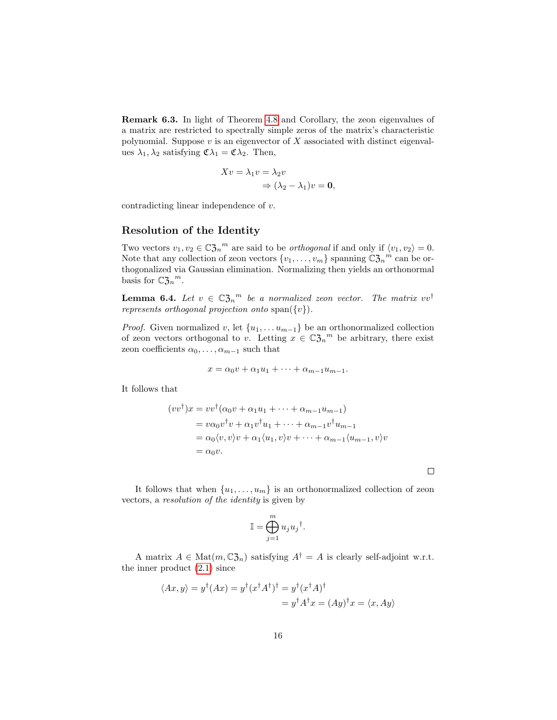Remark 6.3. In light of Theorem [4.8](#page-12-1) and Corollary, the zeon eigenvalues of a matrix are restricted to spectrally simple zeros of the matrix's characteristic polynomial. Suppose  $v$  is an eigenvector of  $X$  associated with distinct eigenvalues  $\lambda_1, \lambda_2$  satisfying  $\mathfrak{C} \lambda_1 = \mathfrak{C} \lambda_2$ . Then,

$$
Xv = \lambda_1 v = \lambda_2 v
$$
  
\n
$$
\Rightarrow (\lambda_2 - \lambda_1)v = \mathbf{0},
$$

contradicting linear independence of v.

### Resolution of the Identity

Two vectors  $v_1, v_2 \in \mathbb{C} \mathfrak{Z}_n^m$  are said to be *orthogonal* if and only if  $\langle v_1, v_2 \rangle = 0$ . Note that any collection of zeon vectors  $\{v_1, \ldots, v_m\}$  spanning  $\mathbb{C} \mathfrak{Z}_n^{\phantom{n}m}$  can be orthogonalized via Gaussian elimination. Normalizing then yields an orthonormal basis for  $\mathbb{C}\mathfrak{Z}_n{}^m$ .

**Lemma 6.4.** Let  $v \in \mathbb{C} \mathfrak{Z}_n^m$  be a normalized zeon vector. The matrix  $vv^{\dagger}$ represents orthogonal projection onto span $({v}).$ 

*Proof.* Given normalized v, let  $\{u_1, \ldots u_{m-1}\}$  be an orthonormalized collection of zeon vectors orthogonal to v. Letting  $x \in \mathbb{C} \mathfrak{Z}_n^m$  be arbitrary, there exist zeon coefficients  $\alpha_0, \ldots, \alpha_{m-1}$  such that

$$
x = \alpha_0 v + \alpha_1 u_1 + \dots + \alpha_{m-1} u_{m-1}.
$$

It follows that

$$
(vv^{\dagger})x = vv^{\dagger}(\alpha_0 v + \alpha_1 u_1 + \dots + \alpha_{m-1} u_{m-1})
$$
  
=  $v\alpha_0 v^{\dagger}v + \alpha_1 v^{\dagger}u_1 + \dots + \alpha_{m-1} v^{\dagger}u_{m-1}$   
=  $\alpha_0 \langle v, v \rangle v + \alpha_1 \langle u_1, v \rangle v + \dots + \alpha_{m-1} \langle u_{m-1}, v \rangle v$   
=  $\alpha_0 v$ .

It follows that when  $\{u_1, \ldots, u_m\}$  is an orthonormalized collection of zeon vectors, a resolution of the identity is given by

 $\Box$ 

$$
\mathbb{I} = \bigoplus_{j=1}^m u_j u_j^{\dagger}.
$$

A matrix  $A \in \text{Mat}(m, \mathbb{C} \mathfrak{Z}_n)$  satisfying  $A^{\dagger} = A$  is clearly self-adjoint w.r.t. the inner product [\(2.1\)](#page-4-6) since

$$
\langle Ax, y \rangle = y^{\dagger} (Ax) = y^{\dagger} (x^{\dagger} A^{\dagger})^{\dagger} = y^{\dagger} (x^{\dagger} A)^{\dagger}
$$

$$
= y^{\dagger} A^{\dagger} x = (Ay)^{\dagger} x = \langle x, Ay \rangle
$$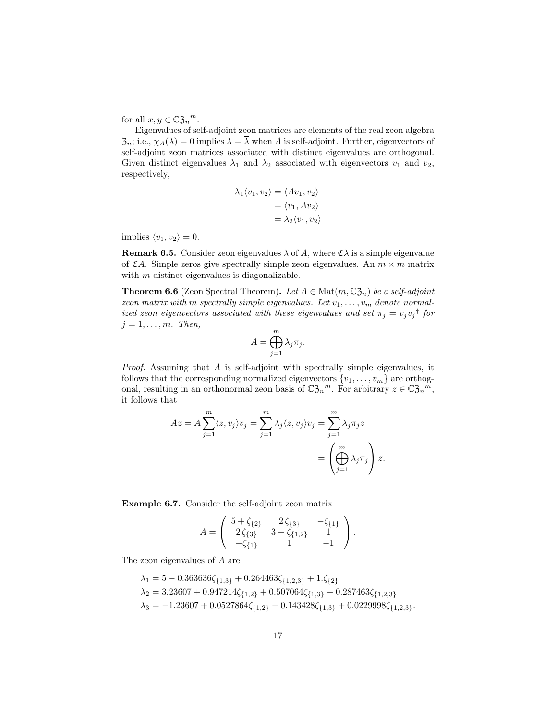for all  $x, y \in \mathbb{C} \mathfrak{Z}_n^m$ .

Eigenvalues of self-adjoint zeon matrices are elements of the real zeon algebra  $\mathfrak{Z}_n$ ; i.e.,  $\chi_A(\lambda) = 0$  implies  $\lambda = \overline{\lambda}$  when A is self-adjoint. Further, eigenvectors of self-adjoint zeon matrices associated with distinct eigenvalues are orthogonal. Given distinct eigenvalues  $\lambda_1$  and  $\lambda_2$  associated with eigenvectors  $v_1$  and  $v_2$ , respectively,

$$
\lambda_1 \langle v_1, v_2 \rangle = \langle Av_1, v_2 \rangle
$$
  
=  $\langle v_1, Av_2 \rangle$   
=  $\lambda_2 \langle v_1, v_2 \rangle$ 

implies  $\langle v_1, v_2 \rangle = 0$ .

**Remark 6.5.** Consider zeon eigenvalues  $\lambda$  of A, where  $\mathfrak{C}\lambda$  is a simple eigenvalue of  $\mathfrak{C}A$ . Simple zeros give spectrally simple zeon eigenvalues. An  $m \times m$  matrix with m distinct eigenvalues is diagonalizable.

**Theorem 6.6** (Zeon Spectral Theorem). Let  $A \in \text{Mat}(m, \mathbb{C}\mathfrak{Z}_n)$  be a self-adjoint zeon matrix with m spectrally simple eigenvalues. Let  $v_1, \ldots, v_m$  denote normalized zeon eigenvectors associated with these eigenvalues and set  $\pi_j = v_j v_j^{\dagger}$  for  $j = 1, \ldots, m$ . Then,

$$
A = \bigoplus_{j=1}^{m} \lambda_j \pi_j.
$$

*Proof.* Assuming that A is self-adjoint with spectrally simple eigenvalues, it follows that the corresponding normalized eigenvectors  $\{v_1, \ldots, v_m\}$  are orthogonal, resulting in an orthonormal zeon basis of  $\mathbb{C}\mathfrak{Z}_n^m$ . For arbitrary  $z \in \mathbb{C}\mathfrak{Z}_n^m$ , it follows that

$$
Az = A \sum_{j=1}^{m} \langle z, v_j \rangle v_j = \sum_{j=1}^{m} \lambda_j \langle z, v_j \rangle v_j = \sum_{j=1}^{m} \lambda_j \pi_j z
$$
  
= 
$$
\left( \bigoplus_{j=1}^{m} \lambda_j \pi_j \right) z.
$$

 $\Box$ 

Example 6.7. Consider the self-adjoint zeon matrix

$$
A = \begin{pmatrix} 5 + \zeta_{\{2\}} & 2\zeta_{\{3\}} & -\zeta_{\{1\}} \\ 2\zeta_{\{3\}} & 3 + \zeta_{\{1,2\}} & 1 \\ -\zeta_{\{1\}} & 1 & -1 \end{pmatrix}.
$$

The zeon eigenvalues of A are

$$
\begin{aligned} \lambda_1 &= 5 - 0.363636\zeta_{\{1,3\}} + 0.264463\zeta_{\{1,2,3\}} + 1.\zeta_{\{2\}} \\ \lambda_2 &= 3.23607 + 0.947214\zeta_{\{1,2\}} + 0.507064\zeta_{\{1,3\}} - 0.287463\zeta_{\{1,2,3\}} \\ \lambda_3 &= -1.23607 + 0.0527864\zeta_{\{1,2\}} - 0.143428\zeta_{\{1,3\}} + 0.0229998\zeta_{\{1,2,3\}}. \end{aligned}
$$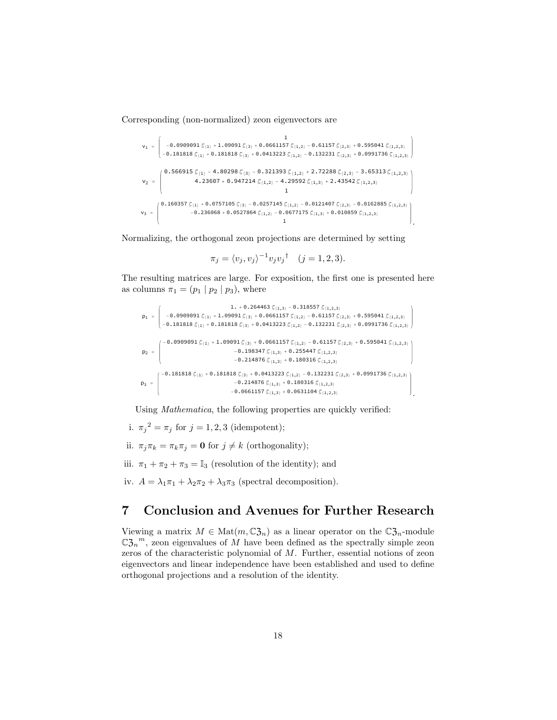Corresponding (non-normalized) zeon eigenvectors are

$$
v_1 = \begin{pmatrix} 1 \\ -0.0909091 \, \mathcal{L}_{\{1\}} + 1.09091 \, \mathcal{L}_{\{3\}} + 0.0661157 \, \mathcal{L}_{\{1,2\}} - 0.61157 \, \mathcal{L}_{\{2,3\}} + 0.595041 \, \mathcal{L}_{\{1,2,3\}} \\ -0.181818 \, \mathcal{L}_{\{1\}} + 0.181818 \, \mathcal{L}_{\{3\}} + 0.0413223 \, \mathcal{L}_{\{1,2\}} - 0.132231 \, \mathcal{L}_{\{2,3\}} + 0.0991736 \, \mathcal{L}_{\{1,2,3\}} \\ v_2 = \begin{pmatrix} 0.566915 \, \mathcal{L}_{\{1\}} - 4.80298 \, \mathcal{L}_{\{3\}} - 0.321393 \, \mathcal{L}_{\{1,2\}} + 2.72288 \, \mathcal{L}_{\{2,3\}} - 3.65313 \, \mathcal{L}_{\{1,2,3\}} \\ 4.23607 + 0.947214 \, \mathcal{L}_{\{1,2\}} - 4.29592 \, \mathcal{L}_{\{1,3\}} + 2.43542 \, \mathcal{L}_{\{1,2,3\}} \\ 1 \end{pmatrix} \\ v_3 = \begin{pmatrix} 0.160357 \, \mathcal{L}_{\{1\}} + 0.0757105 \, \mathcal{L}_{\{3\}} - 0.0257145 \, \mathcal{L}_{\{1,2\}} - 0.0121407 \, \mathcal{L}_{\{2,3\}} - 0.0162885 \, \mathcal{L}_{\{1,2,3\}} \\ -0.236068 + 0.0527864 \, \mathcal{L}_{\{1,2\}} - 0.0677175 \, \mathcal{L}_{\{1,3\}} + 0.010859 \, \mathcal{L}_{\{1,2,3\}} \end{pmatrix} \end{pmatrix}
$$

Normalizing, the orthogonal zeon projections are determined by setting

$$
\pi_j = \langle v_j, v_j \rangle^{-1} v_j v_j^{\dagger} \quad (j = 1, 2, 3).
$$

The resulting matrices are large. For exposition, the first one is presented here as columns  $\pi_1 = (p_1 | p_2 | p_3)$ , where

$$
p_1 = \begin{pmatrix} 1. & +0.264463 \mathcal{L}_{\{1,3\}} - 0.318557 \mathcal{L}_{\{1,2,3\}} \\ -0.0909091 \mathcal{L}_{\{1\}} + 1.09091 \mathcal{L}_{\{3\}} + 0.0661157 \mathcal{L}_{\{1,2\}} - 0.61157 \mathcal{L}_{\{2,3\}} + 0.595041 \mathcal{L}_{\{1,2,3\}} \\ -0.181818 \mathcal{L}_{\{1\}} + 0.181818 \mathcal{L}_{\{3\}} + 0.0413223 \mathcal{L}_{\{1,2\}} - 0.132231 \mathcal{L}_{\{2,3\}} + 0.0991736 \mathcal{L}_{\{1,2,3\}} \end{pmatrix}
$$
\n
$$
p_2 = \begin{pmatrix} -0.0909091 \mathcal{L}_{\{1\}} + 1.09091 \mathcal{L}_{\{3\}} + 0.0661157 \mathcal{L}_{\{1,2\}} - 0.132231 \mathcal{L}_{\{2,3\}} + 0.0991736 \mathcal{L}_{\{1,2,3\}} \\ -0.198347 \mathcal{L}_{\{1,3\}} + 0.255447 \mathcal{L}_{\{1,2,3\}} \end{pmatrix}
$$
\n
$$
-0.214876 \mathcal{L}_{\{1,3\}} + 0.180316 \mathcal{L}_{\{1,2,3\}}
$$
\n
$$
-0.214876 \mathcal{L}_{\{1,3\}} + 0.180316 \mathcal{L}_{\{1,2,3\}}
$$
\n
$$
-0.214876 \mathcal{L}_{\{1,3\}} + 0.180316 \mathcal{L}_{\{1,2,3\}}
$$
\n
$$
-0.214876 \mathcal{L}_{\{1,3\}} + 0.180316 \mathcal{L}_{\{1,2,3\}}
$$
\n
$$
-0.06661157 \mathcal{L}_{\{1,3\}} + 0.180316 \mathcal{L}_{\{
$$

Using Mathematica, the following properties are quickly verified:

- i.  $\pi_j^2 = \pi_j$  for  $j = 1, 2, 3$  (idempotent);
- ii.  $\pi_j \pi_k = \pi_k \pi_j = \mathbf{0}$  for  $j \neq k$  (orthogonality);
- iii.  $\pi_1 + \pi_2 + \pi_3 = \mathbb{I}_3$  (resolution of the identity); and
- iv.  $A = \lambda_1 \pi_1 + \lambda_2 \pi_2 + \lambda_3 \pi_3$  (spectral decomposition).

# <span id="page-17-0"></span>7 Conclusion and Avenues for Further Research

Viewing a matrix  $M \in \text{Mat}(m, \mathbb{C} \mathfrak{Z}_n)$  as a linear operator on the  $\mathbb{C} \mathfrak{Z}_n$ -module  $\mathbb{C} \mathfrak{Z}_n^m$ , zeon eigenvalues of M have been defined as the spectrally simple zeon zeros of the characteristic polynomial of M. Further, essential notions of zeon eigenvectors and linear independence have been established and used to define orthogonal projections and a resolution of the identity.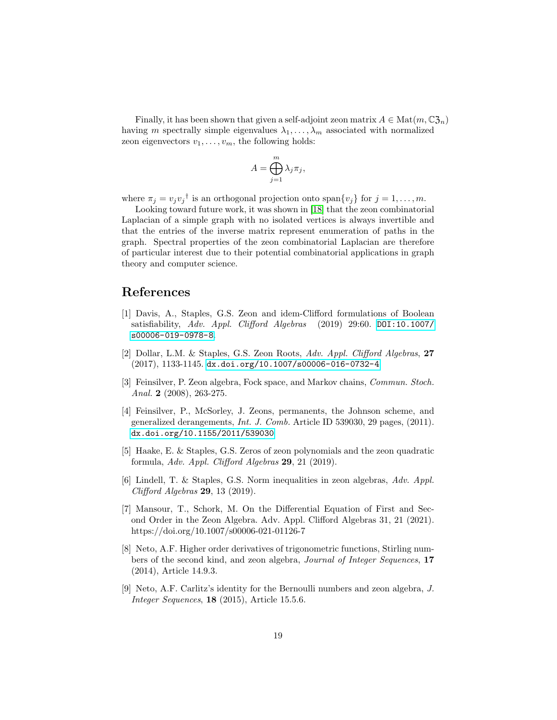Finally, it has been shown that given a self-adjoint zeon matrix  $A \in Mat(m, \mathbb{C}^2_{2n})$ having m spectrally simple eigenvalues  $\lambda_1, \ldots, \lambda_m$  associated with normalized zeon eigenvectors  $v_1, \ldots, v_m$ , the following holds:

$$
A = \bigoplus_{j=1}^{m} \lambda_j \pi_j,
$$

where  $\pi_j = v_j v_j^{\dagger}$  is an orthogonal projection onto span $\{v_j\}$  for  $j = 1, ..., m$ .

Looking toward future work, it was shown in [\[18\]](#page-19-9) that the zeon combinatorial Laplacian of a simple graph with no isolated vertices is always invertible and that the entries of the inverse matrix represent enumeration of paths in the graph. Spectral properties of the zeon combinatorial Laplacian are therefore of particular interest due to their potential combinatorial applications in graph theory and computer science.

## References

- <span id="page-18-0"></span>[1] Davis, A., Staples, G.S. Zeon and idem-Clifford formulations of Boolean satisfiability, Adv. Appl. Clifford Algebras  $(2019)$  29:60. [DOI:10.1007/](DOI:10.1007/s00006-019-0978-8) [s00006-019-0978-8](DOI:10.1007/s00006-019-0978-8).
- <span id="page-18-6"></span>[2] Dollar, L.M. & Staples, G.S. Zeon Roots, Adv. Appl. Clifford Algebras, 27 (2017), 1133-1145. <dx.doi.org/10.1007/s00006-016-0732-4>
- <span id="page-18-4"></span>[3] Feinsilver, P. Zeon algebra, Fock space, and Markov chains, Commun. Stoch. Anal. 2  $(2008)$ , 263-275.
- <span id="page-18-3"></span>[4] Feinsilver, P., McSorley, J. Zeons, permanents, the Johnson scheme, and generalized derangements, Int. J. Comb. Article ID 539030, 29 pages, (2011). <dx.doi.org/10.1155/2011/539030>
- [5] Haake, E. & Staples, G.S. Zeros of zeon polynomials and the zeon quadratic formula, Adv. Appl. Clifford Algebras  $29$ , 21 (2019).
- [6] Lindell, T. & Staples, G.S. Norm inequalities in zeon algebras, Adv. Appl. Clifford Algebras 29, 13 (2019).
- <span id="page-18-5"></span>[7] Mansour, T., Schork, M. On the Differential Equation of First and Second Order in the Zeon Algebra. Adv. Appl. Clifford Algebras 31, 21 (2021). https://doi.org/10.1007/s00006-021-01126-7
- <span id="page-18-1"></span>[8] Neto, A.F. Higher order derivatives of trigonometric functions, Stirling numbers of the second kind, and zeon algebra, Journal of Integer Sequences, 17 (2014), Article 14.9.3.
- <span id="page-18-2"></span>[9] Neto, A.F. Carlitz's identity for the Bernoulli numbers and zeon algebra, J. Integer Sequences, 18 (2015), Article 15.5.6.